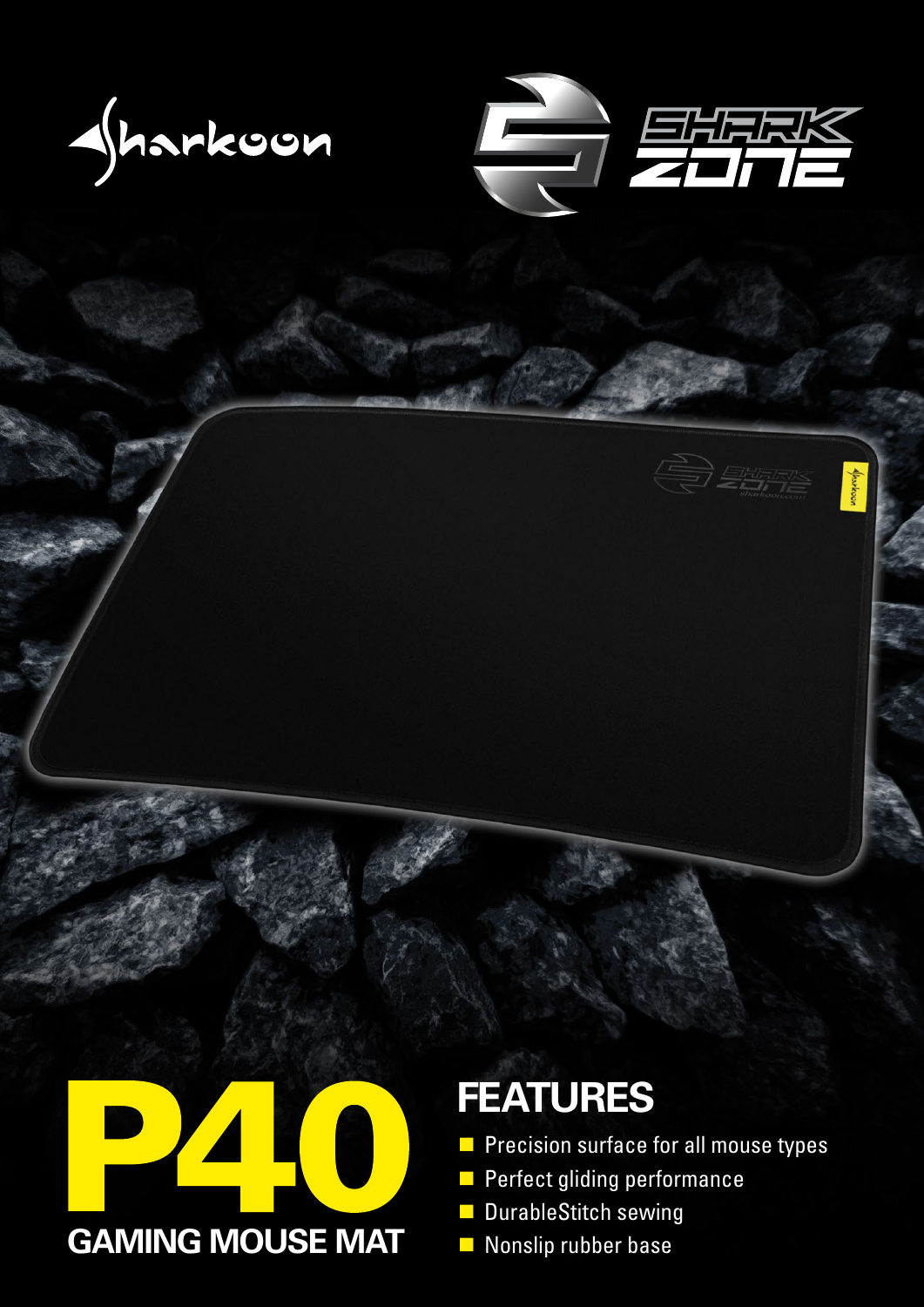







## **FEATURES**

- Precision surface for all mouse types
- **Perfect gliding performance**
- **DurableStitch sewing**
-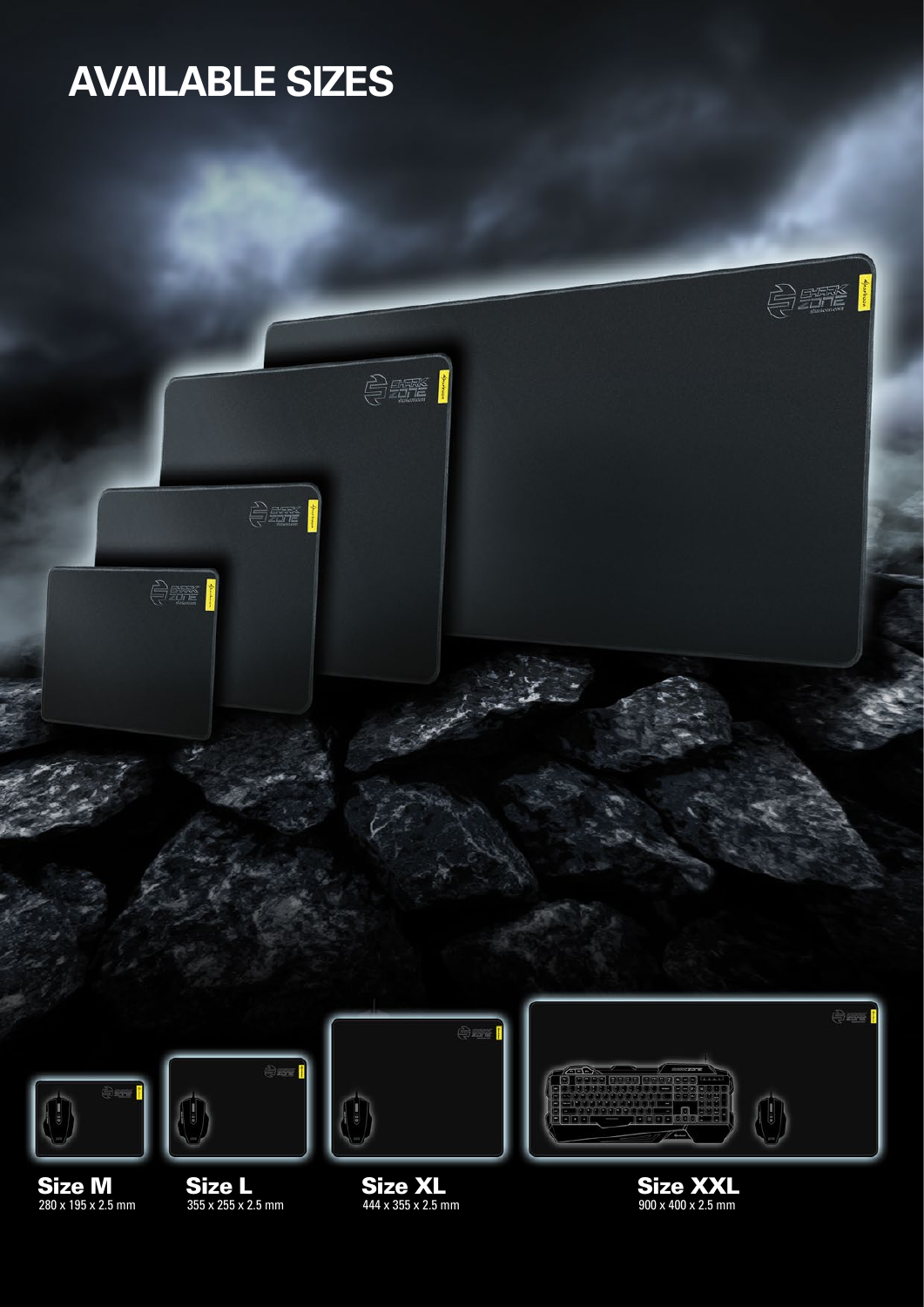# **AVAILABLE SIZES**



Size M 280 x 195 x 2.5 mm Size L 355 x 255 x 2.5 mm

Size XL 444 x 355 x 2.5 mm Size XXL 900 x 400 x 2.5 mm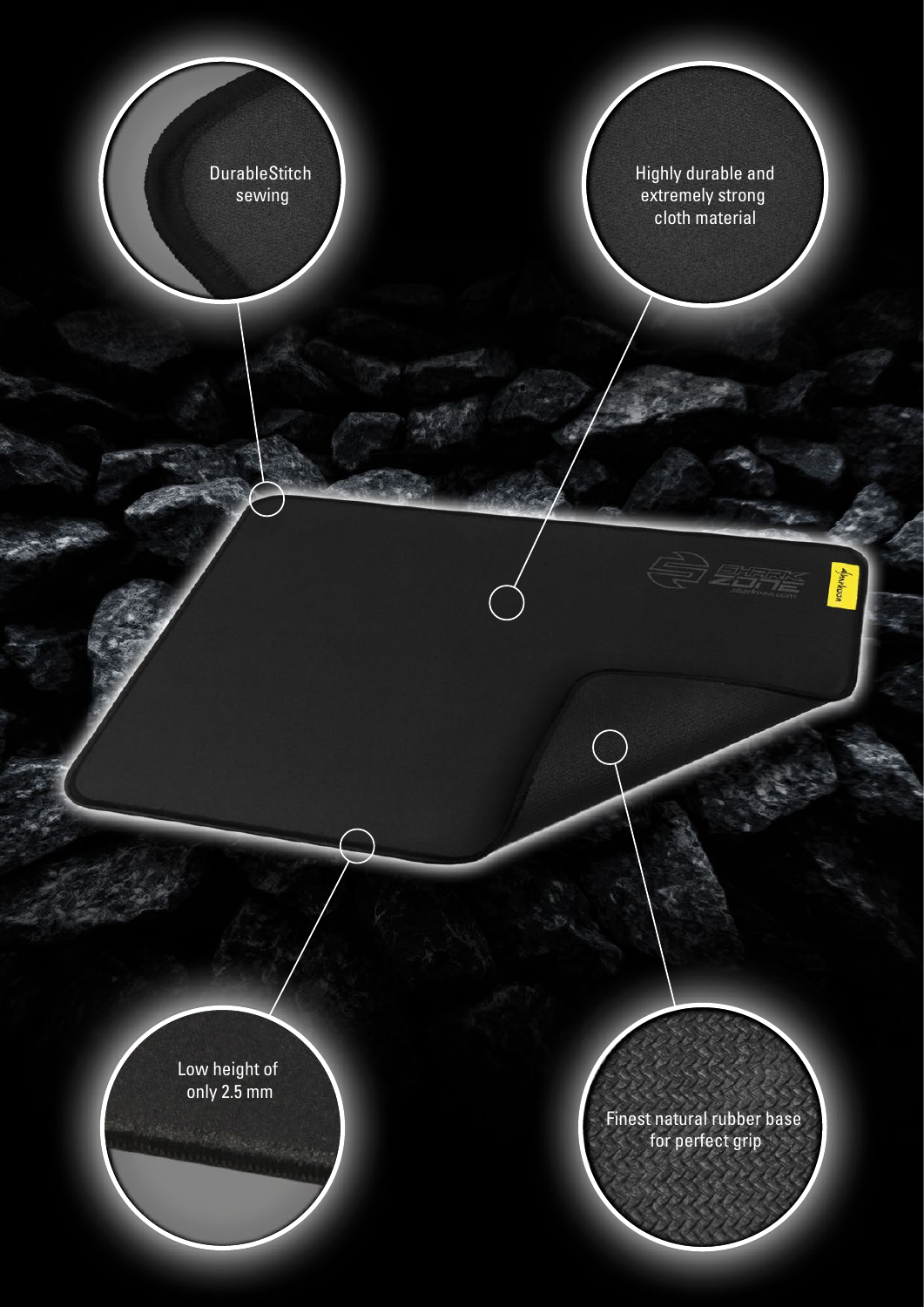